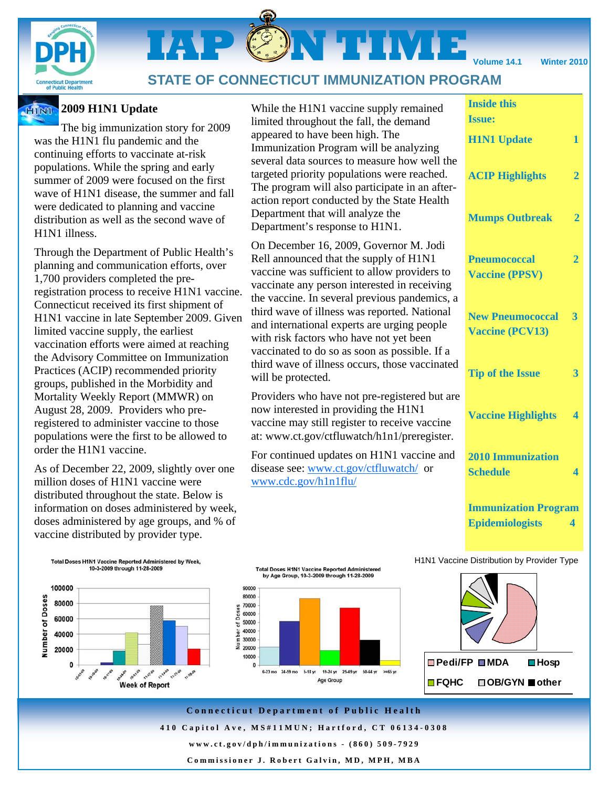

# **IAP 12**

**Volume 14.1 Winter 2010** 

## **STATE OF CONNECTICUT IMMUNIZATION PROGRAM**

#### HINT **2009 H1N1 Update**

The big immunization story for 2009 was the H1N1 flu pandemic and the continuing efforts to vaccinate at-risk populations. While the spring and early summer of 2009 were focused on the first wave of H1N1 disease, the summer and fall were dedicated to planning and vaccine distribution as well as the second wave of H1N1 illness.

Through the Department of Public Health's planning and communication efforts, over 1,700 providers completed the preregistration process to receive H1N1 vaccine. Connecticut received its first shipment of H1N1 vaccine in late September 2009. Given limited vaccine supply, the earliest vaccination efforts were aimed at reaching the Advisory Committee on Immunization Practices (ACIP) recommended priority groups, published in the Morbidity and Mortality Weekly Report (MMWR) on August 28, 2009. Providers who preregistered to administer vaccine to those populations were the first to be allowed to order the H1N1 vaccine.

As of December 22, 2009, slightly over one million doses of H1N1 vaccine were distributed throughout the state. Below is information on doses administered by week, doses administered by age groups, and % of vaccine distributed by provider type.

While the H1N1 vaccine supply remained limited throughout the fall, the demand appeared to have been high. The Immunization Program will be analyzing several data sources to measure how well the targeted priority populations were reached. The program will also participate in an afteraction report conducted by the State Health Department that will analyze the Department's response to H1N1.

On December 16, 2009, Governor M. Jodi Rell announced that the supply of H1N1 vaccine was sufficient to allow providers to vaccinate any person interested in receiving the vaccine. In several previous pandemics, a third wave of illness was reported. National and international experts are urging people with risk factors who have not yet been vaccinated to do so as soon as possible. If a third wave of illness occurs, those vaccinated will be protected.

Providers who have not pre-registered but are now interested in providing the H1N1 vaccine may still register to receive vaccine at: www.ct.gov/ctfluwatch/h1n1/preregister.

For continued updates on H1N1 vaccine and disease see: www.ct.gov/ctfluwatch/ or www.cdc.gov/h1n1flu/

|                      | <b>Inside this</b>                                                               |
|----------------------|----------------------------------------------------------------------------------|
|                      | <b>Issue:</b>                                                                    |
|                      | <b>H1N1 Update</b><br>1                                                          |
| $\ddot{\phantom{0}}$ | <b>ACIP Highlights</b><br>$\overline{2}$                                         |
|                      | <b>Mumps Outbreak</b><br>$\overline{2}$                                          |
|                      | <b>Pneumococcal</b><br>$\overline{2}$<br><b>Vaccine (PPSV)</b>                   |
| ì                    | <b>New Pneumococcal</b><br>$\overline{\mathbf{3}}$<br><b>Vaccine (PCV13)</b>     |
| l                    | <b>Tip of the Issue</b><br>$\overline{\mathbf{3}}$                               |
| è                    | <b>Vaccine Highlights</b><br>4                                                   |
|                      | <b>2010 Immunization</b><br><b>Schedule</b><br>4                                 |
|                      | <b>Immunization Program</b><br><b>Epidemiologists</b><br>$\overline{\mathbf{4}}$ |







**Total Doses H1N1 Vaccine Reported Administered** 

H1N1 Vaccine Distribution by Provider Type



**Connecticut Department of Public Health 410 Capitol Ave, MS#11MUN; Hartford, CT 06134-0308 www.ct.gov/dph/immunizations - (860) 509-7929 Commissioner J. Robert Galvin, MD, MPH, MBA**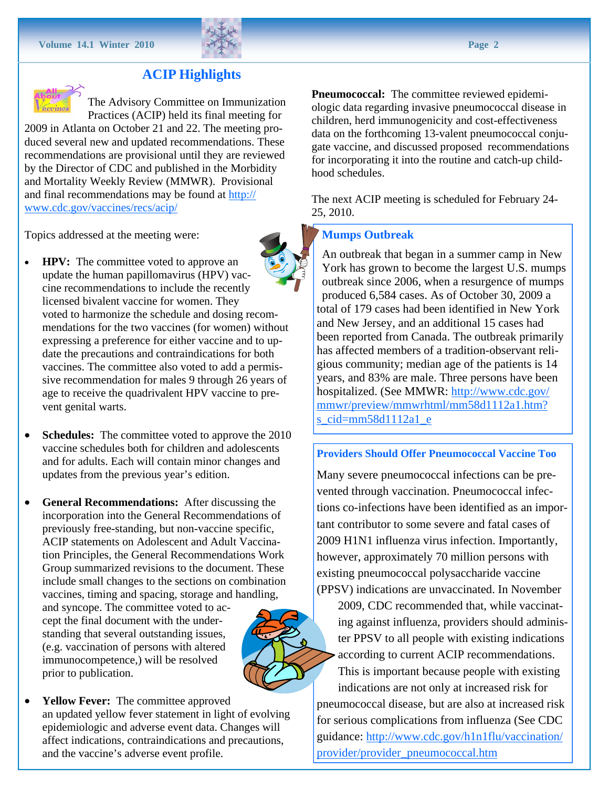



## **ACIP Highlights**

The Advisory Committee on Immunization Practices (ACIP) held its final meeting for

2009 in Atlanta on October 21 and 22. The meeting produced several new and updated recommendations. These recommendations are provisional until they are reviewed by the Director of CDC and published in the Morbidity and Mortality Weekly Review (MMWR). Provisional and final recommendations may be found at http:// www.cdc.gov/vaccines/recs/acip/

Topics addressed at the meeting were:



- **Schedules:** The committee voted to approve the 2010 vaccine schedules both for children and adolescents and for adults. Each will contain minor changes and updates from the previous year's edition.
- **General Recommendations:** After discussing the incorporation into the General Recommendations of previously free-standing, but non-vaccine specific, ACIP statements on Adolescent and Adult Vaccination Principles, the General Recommendations Work Group summarized revisions to the document. These include small changes to the sections on combination vaccines, timing and spacing, storage and handling,

and syncope. The committee voted to accept the final document with the understanding that several outstanding issues, (e.g. vaccination of persons with altered immunocompetence,) will be resolved prior to publication.



• **Yellow Fever:** The committee approved an updated yellow fever statement in light of evolving epidemiologic and adverse event data. Changes will affect indications, contraindications and precautions, and the vaccine's adverse event profile.

**Pneumococcal:** The committee reviewed epidemiologic data regarding invasive pneumococcal disease in children, herd immunogenicity and cost-effectiveness data on the forthcoming 13-valent pneumococcal conjugate vaccine, and discussed proposed recommendations for incorporating it into the routine and catch-up childhood schedules.

The next ACIP meeting is scheduled for February 24- 25, 2010.

### **Mumps Outbreak**

An outbreak that began in a summer camp in New York has grown to become the largest U.S. mumps outbreak since 2006, when a resurgence of mumps produced 6,584 cases. As of October 30, 2009 a total of 179 cases had been identified in New York and New Jersey, and an additional 15 cases had been reported from Canada. The outbreak primarily has affected members of a tradition-observant religious community; median age of the patients is 14 years, and 83% are male. Three persons have been hospitalized. (See MMWR: http://www.cdc.gov/ mmwr/preview/mmwrhtml/mm58d1112a1.htm? s cid=mm58d1112a1 e

#### **Providers Should Offer Pneumococcal Vaccine Too**

Many severe pneumococcal infections can be prevented through vaccination. Pneumococcal infections co-infections have been identified as an important contributor to some severe and fatal cases of 2009 H1N1 influenza virus infection. Importantly, however, approximately 70 million persons with existing pneumococcal polysaccharide vaccine (PPSV) indications are unvaccinated. In November

2009, CDC recommended that, while vaccinating against influenza, providers should administer PPSV to all people with existing indications according to current ACIP recommendations.

This is important because people with existing indications are not only at increased risk for pneumococcal disease, but are also at increased risk for serious complications from influenza (See CDC guidance: http://www.cdc.gov/h1n1flu/vaccination/ provider/provider\_pneumococcal.htm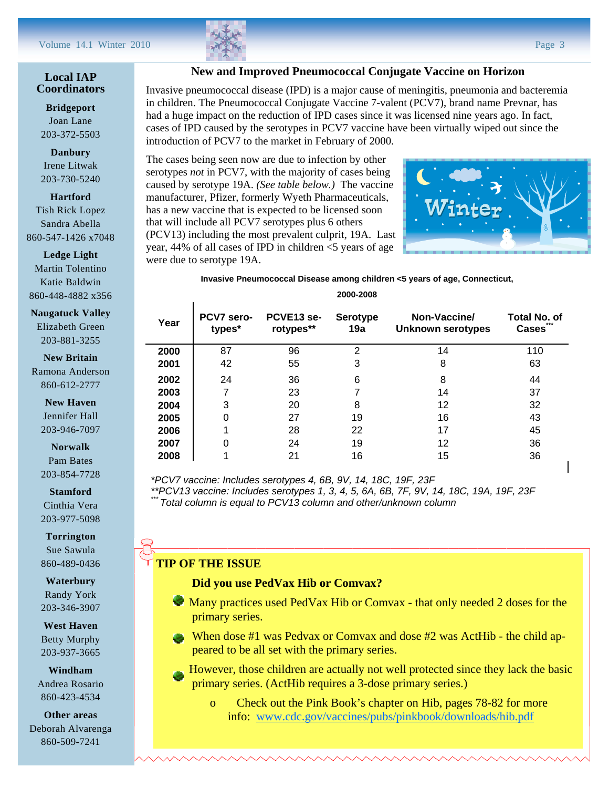**Bridgeport**  Joan Lane 203-372-5503

**Danbury**  Irene Litwak 203-730-5240

**Hartford**  Tish Rick Lopez Sandra Abella 860-547-1426 x7048

**Ledge Light**  Martin Tolentino Katie Baldwin 860-448-4882 x356

**Naugatuck Valley**  Elizabeth Green 203-881-3255

**New Britain**  Ramona Anderson 860-612-2777

> **New Haven**  Jennifer Hall 203-946-7097

> **Norwalk**  Pam Bates 203-854-7728

> **Stamford**  Cinthia Vera 203-977-5098

**Torrington**  Sue Sawula 860-489-0436

**Waterbury**  Randy York 203-346-3907

**West Haven**  Betty Murphy 203-937-3665

**Windham**  Andrea Rosario 860-423-4534

**Other areas**  Deborah Alvarenga 860-509-7241

#### **New and Improved Pneumococcal Conjugate Vaccine on Horizon**

Invasive pneumococcal disease (IPD) is a major cause of meningitis, pneumonia and bacteremia in children. The Pneumococcal Conjugate Vaccine 7-valent (PCV7), brand name Prevnar, has had a huge impact on the reduction of IPD cases since it was licensed nine years ago. In fact, cases of IPD caused by the serotypes in PCV7 vaccine have been virtually wiped out since the introduction of PCV7 to the market in February of 2000.

The cases being seen now are due to infection by other serotypes *not* in PCV7, with the majority of cases being caused by serotype 19A. *(See table below.)* The vaccine manufacturer, Pfizer, formerly Wyeth Pharmaceuticals, has a new vaccine that is expected to be licensed soon that will include all PCV7 serotypes plus 6 others (PCV13) including the most prevalent culprit, 19A. Last year, 44% of all cases of IPD in children <5 years of age were due to serotype 19A.



#### **Invasive Pneumococcal Disease among children <5 years of age, Connecticut,**

**2000-2008**

| Year | <b>PCV7 sero-</b><br>types* | PCVE13 se-<br>rotypes** | <b>Serotype</b><br>19a | Non-Vaccine/<br>Unknown serotypes | <b>Total No. of</b><br><b>Cases</b> |
|------|-----------------------------|-------------------------|------------------------|-----------------------------------|-------------------------------------|
| 2000 | 87                          | 96                      | $\overline{2}$         | 14                                | 110                                 |
| 2001 | 42                          | 55                      | 3                      | 8                                 | 63                                  |
| 2002 | 24                          | 36                      | 6                      | 8                                 | 44                                  |
| 2003 | 7                           | 23                      | 7                      | 14                                | 37                                  |
| 2004 | 3                           | 20                      | 8                      | 12                                | 32                                  |
| 2005 | 0                           | 27                      | 19                     | 16                                | 43                                  |
| 2006 | 4                           | 28                      | 22                     | 17                                | 45                                  |
| 2007 | 0                           | 24                      | 19                     | 12                                | 36                                  |
| 2008 | 4                           | 21                      | 16                     | 15                                | 36                                  |

*\*PCV7 vaccine: Includes serotypes 4, 6B, 9V, 14, 18C, 19F, 23F*

*\*\*PCV13 vaccine: Includes serotypes 1, 3, 4, 5, 6A, 6B, 7F, 9V, 14, 18C, 19A, 19F, 23F \*\*\* Total column is equal to PCV13 column and other/unknown column*

### **TIP OF THE ISSUE**

#### **Did you use PedVax Hib or Comvax?**

- Many practices used PedVax Hib or Comvax that only needed 2 doses for the primary series.
- When dose #1 was Pedvax or Comvax and dose #2 was ActHib the child appeared to be all set with the primary series.
- However, those children are actually not well protected since they lack the basic primary series. (ActHib requires a 3-dose primary series.)
	- o Check out the Pink Book's chapter on Hib, pages 78-82 for more info: www.cdc.gov/vaccines/pubs/pinkbook/downloads/hib.pdf